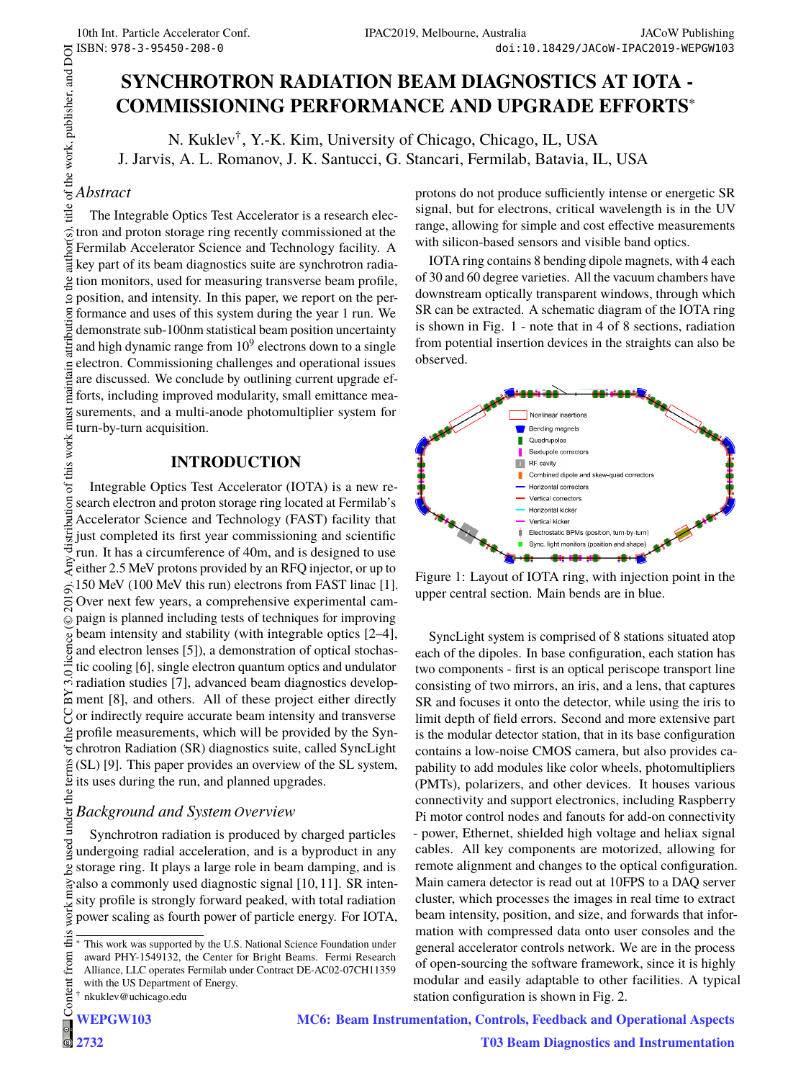## **SYNCHROTRON RADIATION BEAM DIAGNOSTICS AT IOTA - COMMISSIONING PERFORMANCE AND UPGRADE EFFORTS**∗

N. Kuklev<sup>†</sup>, Y.-K. Kim, University of Chicago, Chicago, IL, USA J. Jarvis, A. L. Romanov, J. K. Santucci, G. Stancari, Fermilab, Batavia, IL, USA

#### *Abstract*

 2019). Any distribution of this work must maintain attribution to the author(s), title of the work, publisher, and DOI The Integrable Optics Test Accelerator is a research elec- $\tilde{a}$ tron and proton storage ring recently commissioned at the  $\overline{\text{or}}$ Fermilab Accelerator Science and Technology facility. A È key part of its beam diagnostics suite are synchrotron radia- $\frac{1}{2}$  tion monitors, used for measuring transverse beam profile,  $\overline{9}$  position, and intensity. In this paper, we report on the per- $\overline{5}$  formance and uses of this system during the year 1 run. We demonstrate sub-100nm statistical beam position uncertainty and high dynamic range from  $10^9$  electrons down to a single electron. Commissioning challenges and operational issues maintain are discussed. We conclude by outlining current upgrade efforts, including improved modularity, small emittance meamust surements, and a multi-anode photomultiplier system for turn-by-turn acquisition.

#### **INTRODUCTION**

of this work Integrable Optics Test Accelerator (IOTA) is a new rebution search electron and proton storage ring located at Fermilab's Accelerator Science and Technology (FAST) facility that distrit just completed its first year commissioning and scientific run. It has a circumference of 40m, and is designed to use Funt. It has a chemielence of 40m, and is designed to use 150 MeV (100 MeV this run) electrons from FAST linac [1].  $\hat{9}$ .  $\overline{5}$ Over next few years, a comprehensive experimental campaign is planned including tests of techniques for improving  $\odot$ Content from this work may be used under the terms of the CC BY 3.0 licence ( $\epsilon$ beam intensity and stability (with integrable optics [2–4], and electron lenses [5]), a demonstration of optical stochastic cooling [6], single electron quantum optics and undulator radiation studies [7], advanced beam diagnostics develop- $\approx$  ment [8], and others. All of these project either directly  $\gamma$  or indirectly require accurate beam intensity and transverse profile measurements, which will be provided by the Synchrotron Radiation (SR) diagnostics suite, called SyncLight (SL) [9]. This paper provides an overview of the SL system,  $\frac{5}{2}$  its uses during the run, and planned upgrades.

# under the **Background and System Overview**

Synchrotron radiation is produced by charged particles used undergoing radial acceleration, and is a byproduct in any storage ring. It plays a large role in beam damping, and is also a commonly used diagnostic signal [10, 11]. SR intensity profile is strongly forward peaked, with total radiation power scaling as fourth power of particle energy. For IOTA,

protons do not produce sufficiently intense or energetic SR signal, but for electrons, critical wavelength is in the UV range, allowing for simple and cost effective measurements with silicon-based sensors and visible band optics.

IOTA ring contains 8 bending dipole magnets, with 4 each of 30 and 60 degree varieties. All the vacuum chambers have downstream optically transparent windows, through which SR can be extracted. A schematic diagram of the IOTA ring is shown in Fig. 1 - note that in 4 of 8 sections, radiation from potential insertion devices in the straights can also be observed.



Figure 1: Layout of IOTA ring, with injection point in the upper central section. Main bends are in blue.

SyncLight system is comprised of 8 stations situated atop each of the dipoles. In base configuration, each station has two components - first is an optical periscope transport line consisting of two mirrors, an iris, and a lens, that captures SR and focuses it onto the detector, while using the iris to limit depth of field errors. Second and more extensive part is the modular detector station, that in its base configuration contains a low-noise CMOS camera, but also provides capability to add modules like color wheels, photomultipliers (PMTs), polarizers, and other devices. It houses various connectivity and support electronics, including Raspberry Pi motor control nodes and fanouts for add-on connectivity - power, Ethernet, shielded high voltage and heliax signal cables. All key components are motorized, allowing for remote alignment and changes to the optical configuration. Main camera detector is read out at 10FPS to a DAQ server cluster, which processes the images in real time to extract beam intensity, position, and size, and forwards that information with compressed data onto user consoles and the general accelerator controls network. We are in the process of open-sourcing the software framework, since it is highly modular and easily adaptable to other facilities. A typical station configuration is shown in Fig. 2.

**MC6: Beam Instrumentation, Controls, Feedback and Operational Aspects**

this This work was supported by the U.S. National Science Foundation under from ( award PHY-1549132, the Center for Bright Beams. Fermi Research Alliance, LLC operates Fermilab under Contract DE-AC02-07CH11359 with the US Department of Energy. † nkuklev@uchicago.edu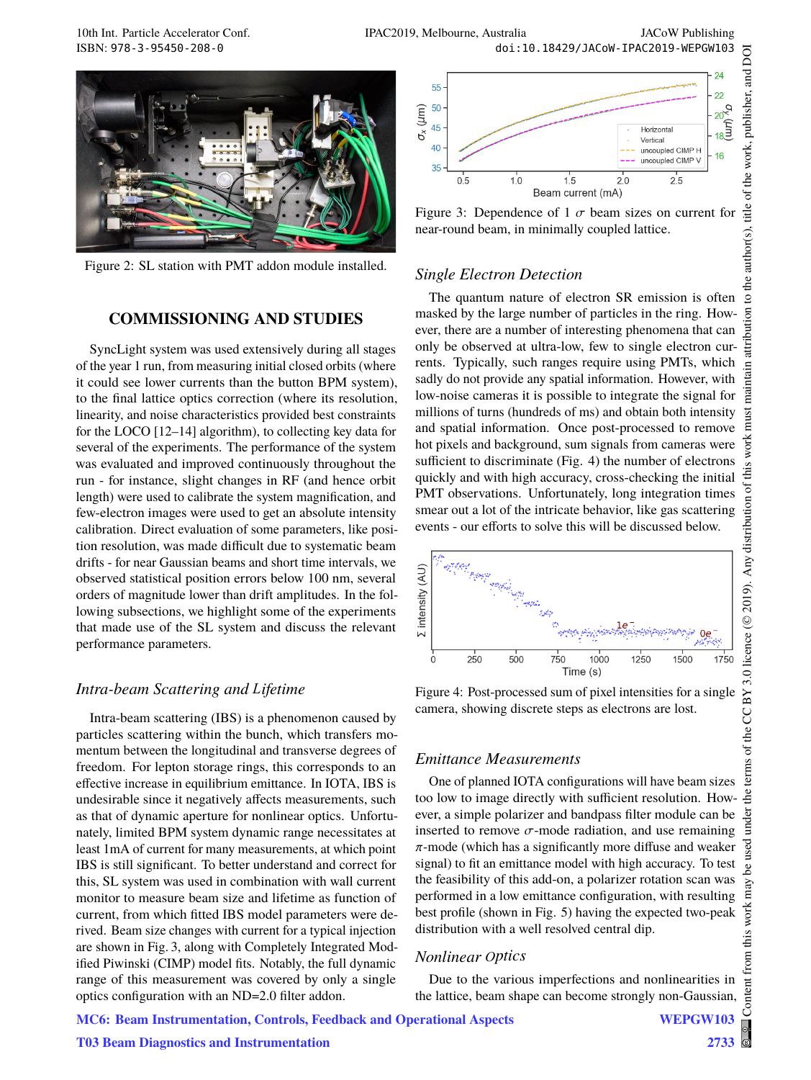

Figure 2: SL station with PMT addon module installed.

#### **COMMISSIONING AND STUDIES**

SyncLight system was used extensively during all stages of the year 1 run, from measuring initial closed orbits (where it could see lower currents than the button BPM system), to the final lattice optics correction (where its resolution, linearity, and noise characteristics provided best constraints for the LOCO [12–14] algorithm), to collecting key data for several of the experiments. The performance of the system was evaluated and improved continuously throughout the run - for instance, slight changes in RF (and hence orbit length) were used to calibrate the system magnification, and few-electron images were used to get an absolute intensity calibration. Direct evaluation of some parameters, like position resolution, was made difficult due to systematic beam drifts - for near Gaussian beams and short time intervals, we observed statistical position errors below 100 nm, several orders of magnitude lower than drift amplitudes. In the following subsections, we highlight some of the experiments that made use of the SL system and discuss the relevant performance parameters.

#### *Intra-beam Scattering and L ifetime L*

Intra-beam scattering (IBS) is a phenomenon caused by particles scattering within the bunch, which transfers momentum between the longitudinal and transverse degrees of freedom. For lepton storage rings, this corresponds to an effective increase in equilibrium emittance. In IOTA, IBS is undesirable since it negatively affects measurements, such as that of dynamic aperture for nonlinear optics. Unfortunately, limited BPM system dynamic range necessitates at least 1mA of current for many measurements, at which point IBS is still significant. To better understand and correct for this, SL system was used in combination with wall current monitor to measure beam size and lifetime as function of current, from which fitted IBS model parameters were derived. Beam size changes with current for a typical injection are shown in Fig. 3, along with Completely Integrated Modified Piwinski (CIMP) model fits. Notably, the full dynamic range of this measurement was covered by only a single optics configuration with an ND=2.0 filter addon.

**T03 Beam Diagnostics and Instrumentation**





#### *Single Electron Detection*

The quantum nature of electron SR emission is often masked by the large number of particles in the ring. However, there are a number of interesting phenomena that can only be observed at ultra-low, few to single electron currents. Typically, such ranges require using PMTs, which sadly do not provide any spatial information. However, with low-noise cameras it is possible to integrate the signal for millions of turns (hundreds of ms) and obtain both intensity and spatial information. Once post-processed to remove hot pixels and background, sum signals from cameras were sufficient to discriminate (Fig. 4) the number of electrons quickly and with high accuracy, cross-checking the initial PMT observations. Unfortunately, long integration times smear out a lot of the intricate behavior, like gas scattering events - our efforts to solve this will be discussed below.



Figure 4: Post-processed sum of pixel intensities for a single camera, showing discrete steps as electrons are lost.

#### *Emittance Measurements*

One of planned IOTA configurations will have beam sizes too low to image directly with sufficient resolution. However, a simple polarizer and bandpass filter module can be inserted to remove  $\sigma$ -mode radiation, and use remaining  $\pi$ -mode (which has a significantly more diffuse and weaker signal) to fit an emittance model with high accuracy. To test the feasibility of this add-on, a polarizer rotation scan was performed in a low emittance configuration, with resulting best profile (shown in Fig. 5) having the expected two-peak distribution with a well resolved central dip.

#### *Nonlinear ptics O*

Due to the various imperfections and nonlinearities in the lattice, beam shape can become strongly non-Gaussian,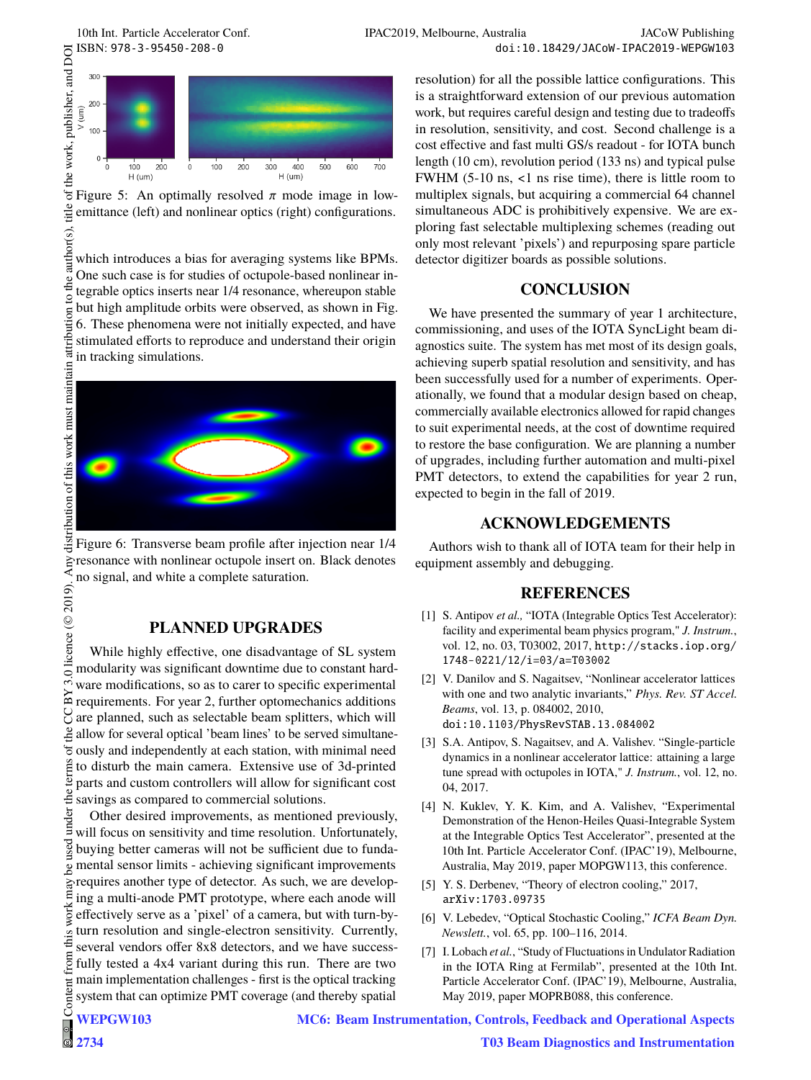

Figure 5: An optimally resolved  $\pi$  mode image in lowitle emittance (left) and nonlinear optics (right) configurations.

author(s), which introduces a bias for averaging systems like BPMs. One such case is for studies of octupole-based nonlinear integrable optics inserts near 1/4 resonance, whereupon stable but high amplitude orbits were observed, as shown in Fig. attribution 6. These phenomena were not initially expected, and have stimulated efforts to reproduce and understand their origin in tracking simulations.



Figure 6: Transverse beam profile after injection near 1/4  $\geq$  resonance with nonlinear octupole insert on. Black denotes no signal, and white a complete saturation.

## **PLANNED UPGRADES**

licence  $(\odot$  2019) While highly effective, one disadvantage of SL system modularity was significant downtime due to constant hardware modifications, so as to carer to specific experimental requirements. For year 2, further optomechanics additions  $\sum_{n=1}^{\infty}$  are planned, such as selectable beam splitters, which will allow for several optical 'beam lines' to be served simultaneously and independently at each station, with minimal need the terms to disturb the main camera. Extensive use of 3d-printed parts and custom controllers will allow for significant cost savings as compared to commercial solutions.

Content from this work may be used under the terms of the CC BY 3.0 licence ( $\epsilon$ under Other desired improvements, as mentioned previously, will focus on sensitivity and time resolution. Unfortunately, buying better cameras will not be sufficient due to fundamental sensor limits - achieving significant improvements  $\mathbf{e}$ requires another type of detector. As such, we are developing a multi-anode PMT prototype, where each anode will work effectively serve as a 'pixel' of a camera, but with turn-byturn resolution and single-electron sensitivity. Currently, this several vendors offer 8x8 detectors, and we have successfrom fully tested a 4x4 variant during this run. There are two main implementation challenges - first is the optical tracking tent system that can optimize PMT coverage (and thereby spatial

resolution) for all the possible lattice configurations. This is a straightforward extension of our previous automation work, but requires careful design and testing due to tradeoffs in resolution, sensitivity, and cost. Second challenge is a cost effective and fast multi GS/s readout - for IOTA bunch length (10 cm), revolution period (133 ns) and typical pulse FWHM (5-10 ns, <1 ns rise time), there is little room to multiplex signals, but acquiring a commercial 64 channel simultaneous ADC is prohibitively expensive. We are exploring fast selectable multiplexing schemes (reading out only most relevant 'pixels') and repurposing spare particle detector digitizer boards as possible solutions. 10th Int. Particle Accelerator Conf.<br>  $\frac{12}{25}$ <br>  $\frac{12}{35}$ <br>  $\frac{12}{25}$ <br>  $\frac{12}{35}$ <br>  $\frac{12}{25}$ <br>  $\frac{12}{35}$ <br>  $\frac{12}{35}$ <br>  $\frac{12}{35}$ <br>  $\frac{12}{35}$ <br>  $\frac{12}{35}$ <br>  $\frac{12}{35}$ <br>  $\frac{12}{35}$ <br>  $\frac{12}{35}$ <br>  $\frac{12}{35}$ <br>

## **CONCLUSION**

We have presented the summary of year 1 architecture, commissioning, and uses of the IOTA SyncLight beam diagnostics suite. The system has met most of its design goals, achieving superb spatial resolution and sensitivity, and has been successfully used for a number of experiments. Operationally, we found that a modular design based on cheap, commercially available electronics allowed for rapid changes to suit experimental needs, at the cost of downtime required to restore the base configuration. We are planning a number of upgrades, including further automation and multi-pixel PMT detectors, to extend the capabilities for year 2 run, expected to begin in the fall of 2019.

## **ACKNOWLEDGEMENTS**

Authors wish to thank all of IOTA team for their help in equipment assembly and debugging.

## **REFERENCES**

- [1] S. Antipov *et al.*, "IOTA (Integrable Optics Test Accelerator): facility and experimental beam physics program," *J. Instrum.*, vol. 12, no. 03, T03002, 2017, http://stacks.iop.org/ 1748-0221/12/i=03/a=T03002
- [2] V. Danilov and S. Nagaitsev, "Nonlinear accelerator lattices with one and two analytic invariants," *Phys. Rev. ST Accel. Beams*, vol. 13, p. 084002, 2010, doi:10.1103/PhysRevSTAB.13.084002
- [3] S.A. Antipov, S. Nagaitsev, and A. Valishev. "Single-particle dynamics in a nonlinear accelerator lattice: attaining a large tune spread with octupoles in IOTA," *J. Instrum.*, vol. 12, no. 04, 2017.
- [4] N. Kuklev, Y. K. Kim, and A. Valishev, "Experimental Demonstration of the Henon-Heiles Quasi-Integrable System at the Integrable Optics Test Accelerator", presented at the 10th Int. Particle Accelerator Conf. (IPAC'19), Melbourne, Australia, May 2019, paper MOPGW113, this conference.
- [5] Y. S. Derbenev, "Theory of electron cooling," 2017, arXiv:1703.09735
- [6] V. Lebedev, "Optical Stochastic Cooling," *ICFA Beam Dyn. Newslett.*, vol. 65, pp. 100–116, 2014.
- [7] I. Lobach *et al.*, "Study of Fluctuations in Undulator Radiation in the IOTA Ring at Fermilab", presented at the 10th Int. Particle Accelerator Conf. (IPAC'19), Melbourne, Australia, May 2019, paper MOPRB088, this conference.

**MC6: Beam Instrumentation, Controls, Feedback and Operational Aspects**